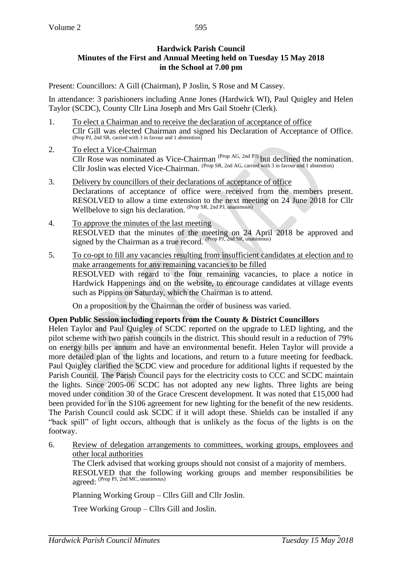## **Hardwick Parish Council Minutes of the First and Annual Meeting held on Tuesday 15 May 2018 in the School at 7.00 pm**

Present: Councillors: A Gill (Chairman), P Joslin, S Rose and M Cassey.

In attendance: 3 parishioners including Anne Jones (Hardwick WI), Paul Quigley and Helen Taylor (SCDC), County Cllr Lina Joseph and Mrs Gail Stoehr (Clerk).

- 1. To elect a Chairman and to receive the declaration of acceptance of office Cllr Gill was elected Chairman and signed his Declaration of Acceptance of Office. (Prop PJ, 2nd SR, carried with 3 in favour and 1 abstention)
- 2. To elect a Vice-Chairman Cllr Rose was nominated as Vice-Chairman<sup> $(Prop AG, 2nd PI)$ </sup> but declined the nomination. Cllr Joslin was elected Vice-Chairman. (Prop SR, 2nd AG, carried with 3 in favour and 1 abstention)
- 3. Delivery by councillors of their declarations of acceptance of office Declarations of acceptance of office were received from the members present. RESOLVED to allow a time extension to the next meeting on 24 June 2018 for Cllr Wellbelove to sign his declaration. (Prop SR, 2nd PJ, unanimous)
- 4. To approve the minutes of the last meeting RESOLVED that the minutes of the meeting on 24 April 2018 be approved and signed by the Chairman as a true record. (Prop PJ, 2nd SR, unanimous)
- 5. To co-opt to fill any vacancies resulting from insufficient candidates at election and to make arrangements for any remaining vacancies to be filled RESOLVED with regard to the four remaining vacancies, to place a notice in Hardwick Happenings and on the website, to encourage candidates at village events such as Pippins on Saturday, which the Chairman is to attend.

On a proposition by the Chairman the order of business was varied.

## **Open Public Session including reports from the County & District Councillors**

Helen Taylor and Paul Quigley of SCDC reported on the upgrade to LED lighting, and the pilot scheme with two parish councils in the district. This should result in a reduction of 79% on energy bills per annum and have an environmental benefit. Helen Taylor will provide a more detailed plan of the lights and locations, and return to a future meeting for feedback. Paul Quigley clarified the SCDC view and procedure for additional lights if requested by the Parish Council. The Parish Council pays for the electricity costs to CCC and SCDC maintain the lights. Since 2005-06 SCDC has not adopted any new lights. Three lights are being moved under condition 30 of the Grace Crescent development. It was noted that £15,000 had been provided for in the S106 agreement for new lighting for the benefit of the new residents. The Parish Council could ask SCDC if it will adopt these. Shields can be installed if any "back spill" of light occurs, although that is unlikely as the focus of the lights is on the footway.

6. Review of delegation arrangements to committees, working groups, employees and other local authorities

The Clerk advised that working groups should not consist of a majority of members. RESOLVED that the following working groups and member responsibilities be agreed: (Prop PJ, 2nd MC, unanimous)

Planning Working Group – Cllrs Gill and Cllr Joslin.

Tree Working Group – Cllrs Gill and Joslin.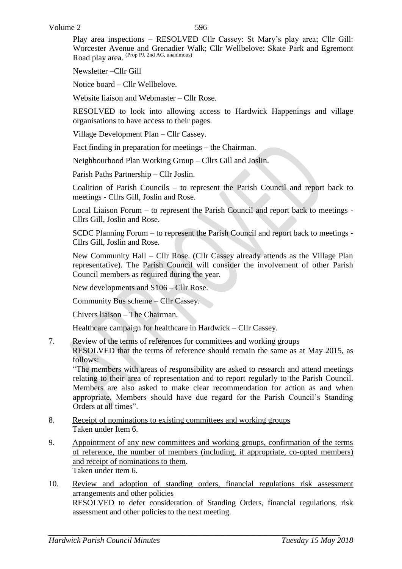Play area inspections – RESOLVED Cllr Cassey: St Mary's play area; Cllr Gill: Worcester Avenue and Grenadier Walk; Cllr Wellbelove: Skate Park and Egremont Road play area. (Prop PJ, 2nd AG, unanimous)

Newsletter –Cllr Gill

Notice board – Cllr Wellbelove.

Website liaison and Webmaster – Cllr Rose.

RESOLVED to look into allowing access to Hardwick Happenings and village organisations to have access to their pages.

Village Development Plan – Cllr Cassey.

Fact finding in preparation for meetings – the Chairman.

Neighbourhood Plan Working Group – Cllrs Gill and Joslin.

Parish Paths Partnership – Cllr Joslin.

Coalition of Parish Councils – to represent the Parish Council and report back to meetings - Cllrs Gill, Joslin and Rose.

Local Liaison Forum – to represent the Parish Council and report back to meetings - Cllrs Gill, Joslin and Rose.

SCDC Planning Forum – to represent the Parish Council and report back to meetings - Cllrs Gill, Joslin and Rose.

New Community Hall – Cllr Rose. (Cllr Cassey already attends as the Village Plan representative). The Parish Council will consider the involvement of other Parish Council members as required during the year.

New developments and S106 – Cllr Rose.

Community Bus scheme – Cllr Cassey.

Chivers liaison – The Chairman.

Healthcare campaign for healthcare in Hardwick – Cllr Cassey.

7. Review of the terms of references for committees and working groups

RESOLVED that the terms of reference should remain the same as at May 2015, as follows:

"The members with areas of responsibility are asked to research and attend meetings relating to their area of representation and to report regularly to the Parish Council. Members are also asked to make clear recommendation for action as and when appropriate. Members should have due regard for the Parish Council's Standing Orders at all times".

- 8. Receipt of nominations to existing committees and working groups Taken under Item 6.
- 9. Appointment of any new committees and working groups, confirmation of the terms of reference, the number of members (including, if appropriate, co-opted members) and receipt of nominations to them. Taken under item 6.
- 10. Review and adoption of standing orders, financial regulations risk assessment arrangements and other policies RESOLVED to defer consideration of Standing Orders, financial regulations, risk assessment and other policies to the next meeting.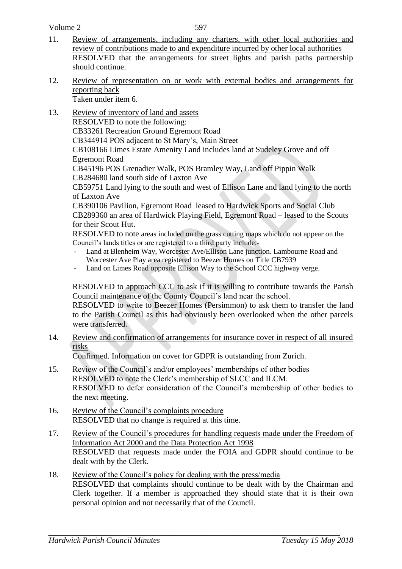- 11. Review of arrangements, including any charters, with other local authorities and review of contributions made to and expenditure incurred by other local authorities RESOLVED that the arrangements for street lights and parish paths partnership should continue.
- 12. Review of representation on or work with external bodies and arrangements for reporting back

Taken under item 6.

- 13. Review of inventory of land and assets RESOLVED to note the following: CB33261 Recreation Ground Egremont Road CB344914 POS adjacent to St Mary's, Main Street CB108166 Limes Estate Amenity Land includes land at Sudeley Grove and off Egremont Road CB45196 POS Grenadier Walk, POS Bramley Way, Land off Pippin Walk CB284680 land south side of Laxton Ave CB59751 Land lying to the south and west of Ellison Lane and land lying to the north of Laxton Ave CB390106 Pavilion, Egremont Road leased to Hardwick Sports and Social Club CB289360 an area of Hardwick Playing Field, Egremont Road – leased to the Scouts for their Scout Hut. RESOLVED to note areas included on the grass cutting maps which do not appear on the Council's lands titles or are registered to a third party include:-
	- Land at Blenheim Way, Worcester Ave/Ellison Lane junction. Lambourne Road and Worcester Ave Play area registered to Beezer Homes on Title CB7939
	- Land on Limes Road opposite Ellison Way to the School CCC highway verge.

RESOLVED to approach CCC to ask if it is willing to contribute towards the Parish Council maintenance of the County Council's land near the school.

RESOLVED to write to Beezer Homes (Persimmon) to ask them to transfer the land to the Parish Council as this had obviously been overlooked when the other parcels were transferred.

14. Review and confirmation of arrangements for insurance cover in respect of all insured risks

Confirmed. Information on cover for GDPR is outstanding from Zurich.

- 15. Review of the Council's and/or employees' memberships of other bodies RESOLVED to note the Clerk's membership of SLCC and ILCM. RESOLVED to defer consideration of the Council's membership of other bodies to the next meeting.
- 16. Review of the Council's complaints procedure RESOLVED that no change is required at this time.
- 17. Review of the Council's procedures for handling requests made under the Freedom of Information Act 2000 and the Data Protection Act 1998 RESOLVED that requests made under the FOIA and GDPR should continue to be dealt with by the Clerk.
- 18. Review of the Council's policy for dealing with the press/media RESOLVED that complaints should continue to be dealt with by the Chairman and Clerk together. If a member is approached they should state that it is their own personal opinion and not necessarily that of the Council.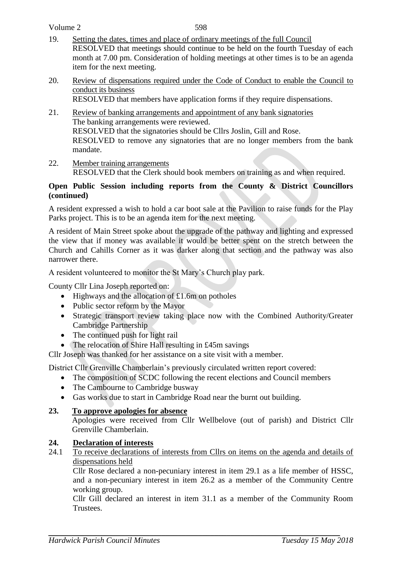- 19. Setting the dates, times and place of ordinary meetings of the full Council RESOLVED that meetings should continue to be held on the fourth Tuesday of each month at 7.00 pm. Consideration of holding meetings at other times is to be an agenda item for the next meeting.
- 20. Review of dispensations required under the Code of Conduct to enable the Council to conduct its business RESOLVED that members have application forms if they require dispensations.
- 21. Review of banking arrangements and appointment of any bank signatories The banking arrangements were reviewed. RESOLVED that the signatories should be Cllrs Joslin, Gill and Rose. RESOLVED to remove any signatories that are no longer members from the bank mandate.
- 22. Member training arrangements RESOLVED that the Clerk should book members on training as and when required.

## **Open Public Session including reports from the County & District Councillors (continued)**

A resident expressed a wish to hold a car boot sale at the Pavilion to raise funds for the Play Parks project. This is to be an agenda item for the next meeting.

A resident of Main Street spoke about the upgrade of the pathway and lighting and expressed the view that if money was available it would be better spent on the stretch between the Church and Cahills Corner as it was darker along that section and the pathway was also narrower there.

A resident volunteered to monitor the St Mary's Church play park.

County Cllr Lina Joseph reported on:

- $\bullet$  Highways and the allocation of £1.6m on potholes
- Public sector reform by the Mayor
- Strategic transport review taking place now with the Combined Authority/Greater Cambridge Partnership
- The continued push for light rail
- The relocation of Shire Hall resulting in £45m savings

Cllr Joseph was thanked for her assistance on a site visit with a member.

District Cllr Grenville Chamberlain's previously circulated written report covered:

- The composition of SCDC following the recent elections and Council members
- The Cambourne to Cambridge busway
- Gas works due to start in Cambridge Road near the burnt out building.

## **23. To approve apologies for absence**

Apologies were received from Cllr Wellbelove (out of parish) and District Cllr Grenville Chamberlain.

## **24. Declaration of interests**

24.1 To receive declarations of interests from Cllrs on items on the agenda and details of dispensations held

Cllr Rose declared a non-pecuniary interest in item 29.1 as a life member of HSSC, and a non-pecuniary interest in item 26.2 as a member of the Community Centre working group.

Cllr Gill declared an interest in item 31.1 as a member of the Community Room Trustees.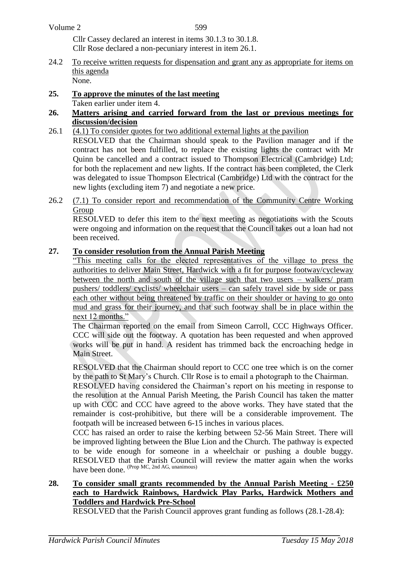| Volume 2 |  |
|----------|--|
|----------|--|

599

Cllr Cassey declared an interest in items 30.1.3 to 30.1.8. Cllr Rose declared a non-pecuniary interest in item 26.1.

- 24.2 To receive written requests for dispensation and grant any as appropriate for items on this agenda None.
- **25. To approve the minutes of the last meeting** Taken earlier under item 4.

#### **26. Matters arising and carried forward from the last or previous meetings for discussion/decision**

- 26.1 (4.1) To consider quotes for two additional external lights at the pavilion RESOLVED that the Chairman should speak to the Pavilion manager and if the contract has not been fulfilled, to replace the existing lights the contract with Mr Quinn be cancelled and a contract issued to Thompson Electrical (Cambridge) Ltd; for both the replacement and new lights. If the contract has been completed, the Clerk was delegated to issue Thompson Electrical (Cambridge) Ltd with the contract for the new lights (excluding item 7) and negotiate a new price.
- 26.2 (7.1) To consider report and recommendation of the Community Centre Working Group

RESOLVED to defer this item to the next meeting as negotiations with the Scouts were ongoing and information on the request that the Council takes out a loan had not been received.

## **27. To consider resolution from the Annual Parish Meeting**

"This meeting calls for the elected representatives of the village to press the authorities to deliver Main Street, Hardwick with a fit for purpose footway/cycleway between the north and south of the village such that two users – walkers/ pram pushers/ toddlers/ cyclists/ wheelchair users – can safely travel side by side or pass each other without being threatened by traffic on their shoulder or having to go onto mud and grass for their journey, and that such footway shall be in place within the next 12 months."

The Chairman reported on the email from Simeon Carroll, CCC Highways Officer. CCC will side out the footway. A quotation has been requested and when approved works will be put in hand. A resident has trimmed back the encroaching hedge in Main Street.

RESOLVED that the Chairman should report to CCC one tree which is on the corner by the path to St Mary's Church. Cllr Rose is to email a photograph to the Chairman.

RESOLVED having considered the Chairman's report on his meeting in response to the resolution at the Annual Parish Meeting, the Parish Council has taken the matter up with CCC and CCC have agreed to the above works. They have stated that the remainder is cost-prohibitive, but there will be a considerable improvement. The footpath will be increased between 6-15 inches in various places.

CCC has raised an order to raise the kerbing between 52-56 Main Street. There will be improved lighting between the Blue Lion and the Church. The pathway is expected to be wide enough for someone in a wheelchair or pushing a double buggy. RESOLVED that the Parish Council will review the matter again when the works have been done. (Prop MC, 2nd AG, unanimous)

### **28. To consider small grants recommended by the Annual Parish Meeting - £250 each to Hardwick Rainbows, Hardwick Play Parks, Hardwick Mothers and Toddlers and Hardwick Pre-School**

RESOLVED that the Parish Council approves grant funding as follows (28.1-28.4):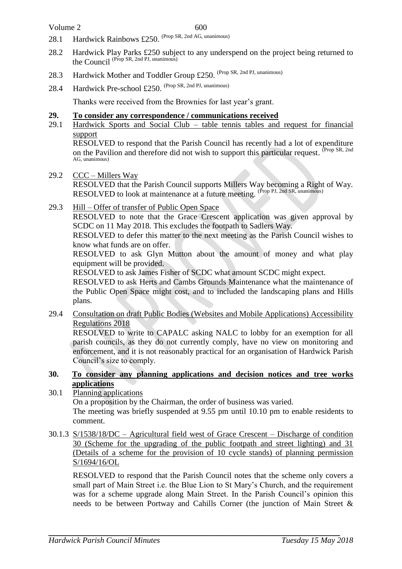- 28.1 Hardwick Rainbows £250. <sup>(Prop SR, 2nd AG, unanimous)</sup>
- 28.2 Hardwick Play Parks £250 subject to any underspend on the project being returned to the Council (Prop SR, 2nd PJ, unanimous)
- 28.3 Hardwick Mother and Toddler Group £250. <sup>(Prop SR, 2nd PJ, unanimous)</sup>
- 28.4 Hardwick Pre-school £250. (Prop SR, 2nd PJ, unanimous)

Thanks were received from the Brownies for last year's grant.

#### **29. To consider any correspondence / communications received**

29.1 Hardwick Sports and Social Club – table tennis tables and request for financial support

RESOLVED to respond that the Parish Council has recently had a lot of expenditure on the Pavilion and therefore did not wish to support this particular request. <sup>(Prop SR, 2nd</sup>) AG, unanimous)

29.2 CCC – Millers Way

RESOLVED that the Parish Council supports Millers Way becoming a Right of Way. RESOLVED to look at maintenance at a future meeting. (Prop PJ, 2nd SR, unanimous)

29.3 Hill – Offer of transfer of Public Open Space

RESOLVED to note that the Grace Crescent application was given approval by SCDC on 11 May 2018. This excludes the footpath to Sadlers Way.

RESOLVED to defer this matter to the next meeting as the Parish Council wishes to know what funds are on offer.

RESOLVED to ask Glyn Mutton about the amount of money and what play equipment will be provided.

RESOLVED to ask James Fisher of SCDC what amount SCDC might expect.

RESOLVED to ask Herts and Cambs Grounds Maintenance what the maintenance of the Public Open Space might cost, and to included the landscaping plans and Hills plans.

29.4 Consultation on draft Public Bodies (Websites and Mobile Applications) Accessibility Regulations 2018

RESOLVED to write to CAPALC asking NALC to lobby for an exemption for all parish councils, as they do not currently comply, have no view on monitoring and enforcement, and it is not reasonably practical for an organisation of Hardwick Parish Council's size to comply.

**30. To consider any planning applications and decision notices and tree works applications**

30.1 Planning applications On a proposition by the Chairman, the order of business was varied. The meeting was briefly suspended at 9.55 pm until 10.10 pm to enable residents to comment.

30.1.3 S/1538/18/DC – Agricultural field west of Grace Crescent – Discharge of condition 30 (Scheme for the upgrading of the public footpath and street lighting) and 31 (Details of a scheme for the provision of 10 cycle stands) of planning permission S/1694/16/OL

RESOLVED to respond that the Parish Council notes that the scheme only covers a small part of Main Street i.e. the Blue Lion to St Mary's Church, and the requirement was for a scheme upgrade along Main Street. In the Parish Council's opinion this needs to be between Portway and Cahills Corner (the junction of Main Street &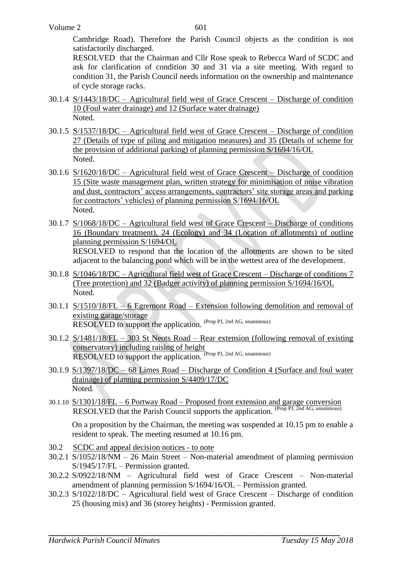Cambridge Road). Therefore the Parish Council objects as the condition is not satisfactorily discharged.

RESOLVED that the Chairman and Cllr Rose speak to Rebecca Ward of SCDC and ask for clarification of condition 30 and 31 via a site meeting. With regard to condition 31, the Parish Council needs information on the ownership and maintenance of cycle storage racks.

- 30.1.4 S/1443/18/DC Agricultural field west of Grace Crescent Discharge of condition 10 (Foul water drainage) and 12 (Surface water drainage) Noted.
- 30.1.5 S/1537/18/DC Agricultural field west of Grace Crescent Discharge of condition 27 (Details of type of piling and mitigation measures) and 35 (Details of scheme for the provision of additional parking) of planning permission S/1694/16/OL Noted.
- 30.1.6 S/1620/18/DC Agricultural field west of Grace Crescent Discharge of condition 15 (Site waste management plan, written strategy for minimisation of noise vibration and dust, contractors' access arrangements, contractors' site storage areas and parking for contractors' vehicles) of planning permission S/1694/16/OL Noted.
- 30.1.7 S/1068/18/DC Agricultural field west of Grace Crescent Discharge of conditions 16 (Boundary treatment), 24 (Ecology) and 34 (Location of allotments) of outline planning permission S/1694/OL RESOLVED to respond that the location of the allotments are shown to be sited adjacent to the balancing pond which will be in the wettest area of the development.
- 30.1.8 S/1046/18/DC Agricultural field west of Grace Crescent Discharge of conditions 7 (Tree protection) and 32 (Badger activity) of planning permission S/1694/16/OL Noted.
- 30.1.1 S/1510/18/FL 6 Egremont Road Extension following demolition and removal of existing garage/storage RESOLVED to support the application. (Prop PJ, 2nd AG, unanimous)
- 30.1.2 S/1481/18/FL 303 St Neots Road Rear extension (following removal of existing conservatory) including raising of height RESOLVED to support the application. (Prop PJ, 2nd AG, unanimous)
- 30.1.9 S/1397/18/DC 68 Limes Road Discharge of Condition 4 (Surface and foul water drainage) of planning permission S/4409/17/DC Noted.
- 30.1.10 S/1301/18/FL 6 Portway Road Proposed front extension and garage conversion RESOLVED that the Parish Council supports the application. (Prop PJ, 2nd AG, unanimous)

On a proposition by the Chairman, the meeting was suspended at 10.15 pm to enable a resident to speak. The meeting resumed at 10.16 pm.

- 30.2 SCDC and appeal decision notices to note
- 30.2.1 S/1052/18/NM 26 Main Street Non-material amendment of planning permission S/1945/17/FL – Permission granted.
- 30.2.2 S/0922/18/NM Agricultural field west of Grace Crescent Non-material amendment of planning permission S/1694/16/OL – Permission granted.
- 30.2.3 S/1022/18/DC Agricultural field west of Grace Crescent Discharge of condition 25 (housing mix) and 36 (storey heights) - Permission granted.